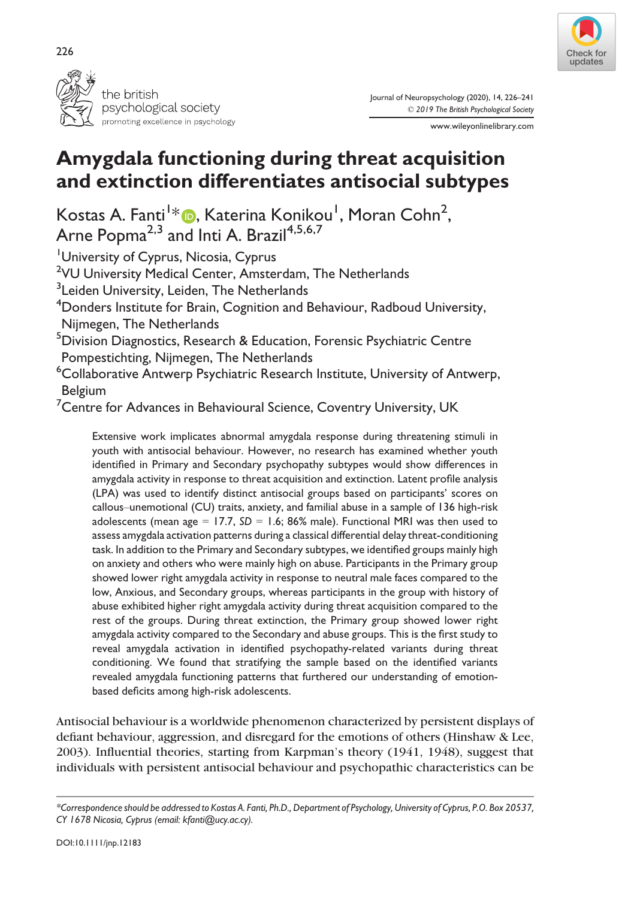



Journal of Neuropsychology (2020), 14, 226–241 © 2019 The British Psychological Society

www.wileyonlinelibrary.com

# Amygdala functioning during threat acquisition and extinction differentiates antisocial subtypes

Kostas A. Fanti<sup>1</sup>[\\*](https://orcid.org/0000-0002-3484-7483) **D**, Katerina Konikou<sup>1</sup>, Moran Cohn<sup>2</sup>, Arne Popma<sup>2,3</sup> and Inti A. Brazil<sup>4,5,6,7</sup>

University of Cyprus, Nicosia, Cyprus <sup>2</sup>VU University Medical Center, Amsterdam, The Netherlands <sup>3</sup> Leiden University, Leiden, The Netherlands  $^4$ Donders Institute for Brain, Cognition and Behaviour, Radboud University, Nijmegen, The Netherlands <sup>5</sup>Division Diagnostics, Research & Education, Forensic Psychiatric Centre Pompestichting, Nijmegen, The Netherlands  $^6$ Collaborative Antwerp Psychiatric Research Institute, University of Antwerp, Belgium  $^7$ Centre for Advances in Behavioural Science, Coventry University, UK

Extensive work implicates abnormal amygdala response during threatening stimuli in youth with antisocial behaviour. However, no research has examined whether youth identified in Primary and Secondary psychopathy subtypes would show differences in amygdala activity in response to threat acquisition and extinction. Latent profile analysis (LPA) was used to identify distinct antisocial groups based on participants' scores on callous–unemotional (CU) traits, anxiety, and familial abuse in a sample of 136 high-risk adolescents (mean age = 17.7,  $SD = 1.6$ ; 86% male). Functional MRI was then used to assess amygdala activation patterns during a classical differential delay threat-conditioning task. In addition to the Primary and Secondary subtypes, we identified groups mainly high on anxiety and others who were mainly high on abuse. Participants in the Primary group showed lower right amygdala activity in response to neutral male faces compared to the low, Anxious, and Secondary groups, whereas participants in the group with history of abuse exhibited higher right amygdala activity during threat acquisition compared to the rest of the groups. During threat extinction, the Primary group showed lower right amygdala activity compared to the Secondary and abuse groups. This is the first study to reveal amygdala activation in identified psychopathy-related variants during threat conditioning. We found that stratifying the sample based on the identified variants revealed amygdala functioning patterns that furthered our understanding of emotionbased deficits among high-risk adolescents.

Antisocial behaviour is a worldwide phenomenon characterized by persistent displays of defiant behaviour, aggression, and disregard for the emotions of others (Hinshaw & Lee, 2003). Influential theories, starting from Karpman's theory (1941, 1948), suggest that individuals with persistent antisocial behaviour and psychopathic characteristics can be

<sup>\*</sup>Correspondence should be addressed to Kostas A. Fanti, Ph.D., Department of Psychology, University of Cyprus, P.O. Box 20537, CY 1678 Nicosia, Cyprus (email: [kfanti@ucy.ac.cy\)](mailto:).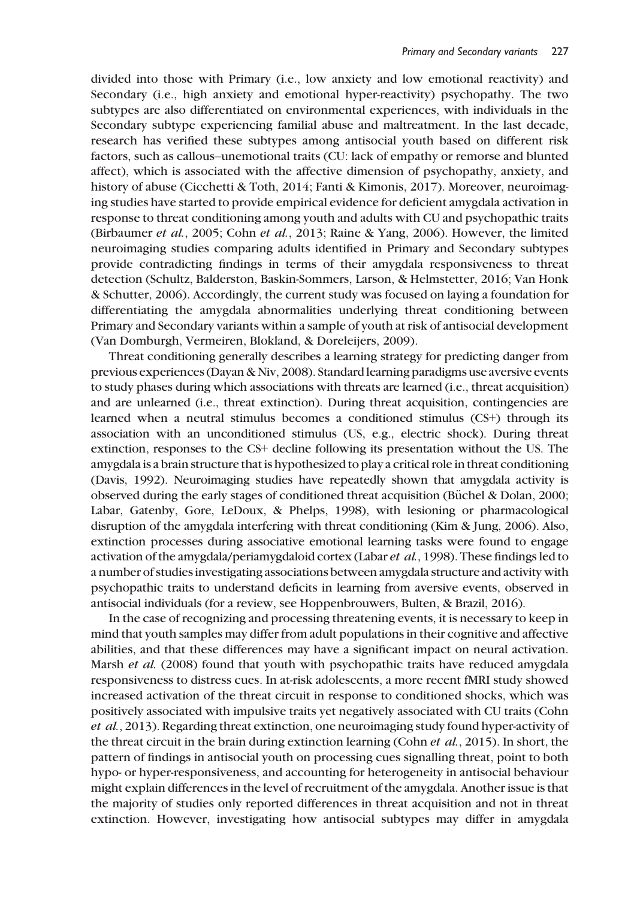divided into those with Primary (i.e., low anxiety and low emotional reactivity) and Secondary (i.e., high anxiety and emotional hyper-reactivity) psychopathy. The two subtypes are also differentiated on environmental experiences, with individuals in the Secondary subtype experiencing familial abuse and maltreatment. In the last decade, research has verified these subtypes among antisocial youth based on different risk factors, such as callous–unemotional traits (CU: lack of empathy or remorse and blunted affect), which is associated with the affective dimension of psychopathy, anxiety, and history of abuse (Cicchetti & Toth, 2014; Fanti & Kimonis, 2017). Moreover, neuroimaging studies have started to provide empirical evidence for deficient amygdala activation in response to threat conditioning among youth and adults with CU and psychopathic traits (Birbaumer et al., 2005; Cohn et al., 2013; Raine & Yang, 2006). However, the limited neuroimaging studies comparing adults identified in Primary and Secondary subtypes provide contradicting findings in terms of their amygdala responsiveness to threat detection (Schultz, Balderston, Baskin-Sommers, Larson, & Helmstetter, 2016; Van Honk & Schutter, 2006). Accordingly, the current study was focused on laying a foundation for differentiating the amygdala abnormalities underlying threat conditioning between Primary and Secondary variants within a sample of youth at risk of antisocial development (Van Domburgh, Vermeiren, Blokland, & Doreleijers, 2009).

Threat conditioning generally describes a learning strategy for predicting danger from previous experiences (Dayan & Niv, 2008). Standard learning paradigms use aversive events to study phases during which associations with threats are learned (i.e., threat acquisition) and are unlearned (i.e., threat extinction). During threat acquisition, contingencies are learned when a neutral stimulus becomes a conditioned stimulus (CS+) through its association with an unconditioned stimulus (US, e.g., electric shock). During threat extinction, responses to the CS+ decline following its presentation without the US. The amygdala is a brain structure that is hypothesized to play a critical role in threat conditioning (Davis, 1992). Neuroimaging studies have repeatedly shown that amygdala activity is observed during the early stages of conditioned threat acquisition (Büchel & Dolan, 2000; Labar, Gatenby, Gore, LeDoux, & Phelps, 1998), with lesioning or pharmacological disruption of the amygdala interfering with threat conditioning (Kim & Jung, 2006). Also, extinction processes during associative emotional learning tasks were found to engage activation of the amygdala/periamygdaloid cortex (Labar et al., 1998). These findings led to a number of studies investigating associations between amygdala structure and activity with psychopathic traits to understand deficits in learning from aversive events, observed in antisocial individuals (for a review, see Hoppenbrouwers, Bulten, & Brazil, 2016).

In the case of recognizing and processing threatening events, it is necessary to keep in mind that youth samples may differ from adult populations in their cognitive and affective abilities, and that these differences may have a significant impact on neural activation. Marsh et al. (2008) found that youth with psychopathic traits have reduced amygdala responsiveness to distress cues. In at-risk adolescents, a more recent fMRI study showed increased activation of the threat circuit in response to conditioned shocks, which was positively associated with impulsive traits yet negatively associated with CU traits (Cohn et al., 2013). Regarding threat extinction, one neuroimaging study found hyper-activity of the threat circuit in the brain during extinction learning (Cohn *et al.*, 2015). In short, the pattern of findings in antisocial youth on processing cues signalling threat, point to both hypo- or hyper-responsiveness, and accounting for heterogeneity in antisocial behaviour might explain differences in the level of recruitment of the amygdala. Another issue is that the majority of studies only reported differences in threat acquisition and not in threat extinction. However, investigating how antisocial subtypes may differ in amygdala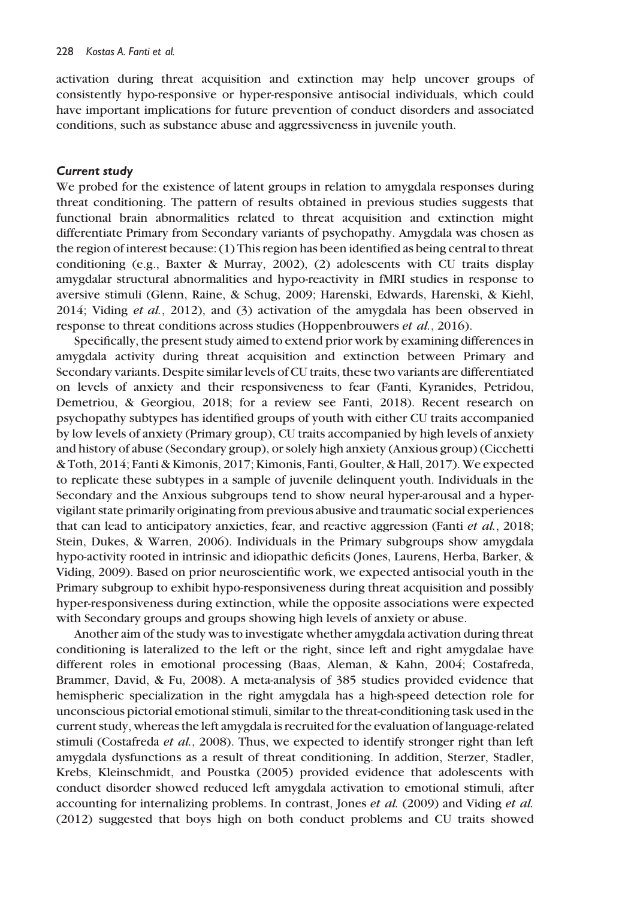activation during threat acquisition and extinction may help uncover groups of consistently hypo-responsive or hyper-responsive antisocial individuals, which could have important implications for future prevention of conduct disorders and associated conditions, such as substance abuse and aggressiveness in juvenile youth.

#### Current study

We probed for the existence of latent groups in relation to amygdala responses during threat conditioning. The pattern of results obtained in previous studies suggests that functional brain abnormalities related to threat acquisition and extinction might differentiate Primary from Secondary variants of psychopathy. Amygdala was chosen as the region of interest because: (1) This region has been identified as being central to threat conditioning (e.g., Baxter & Murray, 2002), (2) adolescents with CU traits display amygdalar structural abnormalities and hypo-reactivity in fMRI studies in response to aversive stimuli (Glenn, Raine, & Schug, 2009; Harenski, Edwards, Harenski, & Kiehl, 2014; Viding et al., 2012), and (3) activation of the amygdala has been observed in response to threat conditions across studies (Hoppenbrouwers et al., 2016).

Specifically, the present study aimed to extend prior work by examining differences in amygdala activity during threat acquisition and extinction between Primary and Secondary variants. Despite similar levels of CU traits, these two variants are differentiated on levels of anxiety and their responsiveness to fear (Fanti, Kyranides, Petridou, Demetriou, & Georgiou, 2018; for a review see Fanti, 2018). Recent research on psychopathy subtypes has identified groups of youth with either CU traits accompanied by low levels of anxiety (Primary group), CU traits accompanied by high levels of anxiety and history of abuse (Secondary group), or solely high anxiety (Anxious group) (Cicchetti & Toth, 2014; Fanti & Kimonis, 2017; Kimonis, Fanti, Goulter, & Hall, 2017). We expected to replicate these subtypes in a sample of juvenile delinquent youth. Individuals in the Secondary and the Anxious subgroups tend to show neural hyper-arousal and a hypervigilant state primarily originating from previous abusive and traumatic social experiences that can lead to anticipatory anxieties, fear, and reactive aggression (Fanti et al., 2018; Stein, Dukes, & Warren, 2006). Individuals in the Primary subgroups show amygdala hypo-activity rooted in intrinsic and idiopathic deficits (Jones, Laurens, Herba, Barker, & Viding, 2009). Based on prior neuroscientific work, we expected antisocial youth in the Primary subgroup to exhibit hypo-responsiveness during threat acquisition and possibly hyper-responsiveness during extinction, while the opposite associations were expected with Secondary groups and groups showing high levels of anxiety or abuse.

Another aim of the study was to investigate whether amygdala activation during threat conditioning is lateralized to the left or the right, since left and right amygdalae have different roles in emotional processing (Baas, Aleman, & Kahn, 2004; Costafreda, Brammer, David, & Fu, 2008). A meta-analysis of 385 studies provided evidence that hemispheric specialization in the right amygdala has a high-speed detection role for unconscious pictorial emotional stimuli, similar to the threat-conditioning task used in the current study, whereas the left amygdala is recruited for the evaluation of language-related stimuli (Costafreda et al., 2008). Thus, we expected to identify stronger right than left amygdala dysfunctions as a result of threat conditioning. In addition, Sterzer, Stadler, Krebs, Kleinschmidt, and Poustka (2005) provided evidence that adolescents with conduct disorder showed reduced left amygdala activation to emotional stimuli, after accounting for internalizing problems. In contrast, Jones et al. (2009) and Viding et al. (2012) suggested that boys high on both conduct problems and CU traits showed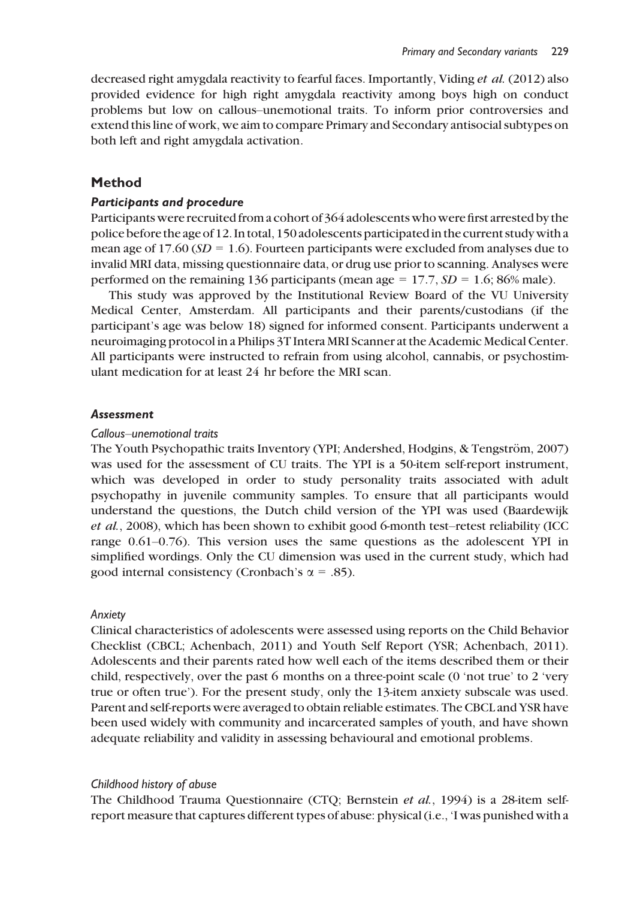decreased right amygdala reactivity to fearful faces. Importantly, Viding et al. (2012) also provided evidence for high right amygdala reactivity among boys high on conduct problems but low on callous–unemotional traits. To inform prior controversies and extend this line of work, we aim to compare Primary and Secondary antisocial subtypes on both left and right amygdala activation.

# Method

#### Participants and procedure

Participants were recruited from a cohort of 364 adolescents who were first arrested by the police before the age of 12. In total, 150 adolescents participated in the current studywith a mean age of 17.60 ( $SD = 1.6$ ). Fourteen participants were excluded from analyses due to invalid MRI data, missing questionnaire data, or drug use prior to scanning. Analyses were performed on the remaining 136 participants (mean age = 17.7,  $SD = 1.6$ ; 86% male).

This study was approved by the Institutional Review Board of the VU University Medical Center, Amsterdam. All participants and their parents/custodians (if the participant's age was below 18) signed for informed consent. Participants underwent a neuroimaging protocol in a Philips 3T Intera MRI Scanner at the Academic Medical Center. All participants were instructed to refrain from using alcohol, cannabis, or psychostimulant medication for at least 24 hr before the MRI scan.

#### **Assessment**

#### Callous–unemotional traits

The Youth Psychopathic traits Inventory (YPI; Andershed, Hodgins, & Tengström, 2007) was used for the assessment of CU traits. The YPI is a 50-item self-report instrument, which was developed in order to study personality traits associated with adult psychopathy in juvenile community samples. To ensure that all participants would understand the questions, the Dutch child version of the YPI was used (Baardewijk et al., 2008), which has been shown to exhibit good 6-month test–retest reliability (ICC range 0.61–0.76). This version uses the same questions as the adolescent YPI in simplified wordings. Only the CU dimension was used in the current study, which had good internal consistency (Cronbach's  $\alpha$  = .85).

#### Anxiety

Clinical characteristics of adolescents were assessed using reports on the Child Behavior Checklist (CBCL; Achenbach, 2011) and Youth Self Report (YSR; Achenbach, 2011). Adolescents and their parents rated how well each of the items described them or their child, respectively, over the past 6 months on a three-point scale (0 'not true' to 2 'very true or often true'). For the present study, only the 13-item anxiety subscale was used. Parent and self-reports were averaged to obtain reliable estimates. The CBCL and YSR have been used widely with community and incarcerated samples of youth, and have shown adequate reliability and validity in assessing behavioural and emotional problems.

#### Childhood history of abuse

The Childhood Trauma Questionnaire (CTQ; Bernstein et al., 1994) is a 28-item selfreport measure that captures different types of abuse: physical (i.e., 'I was punished with a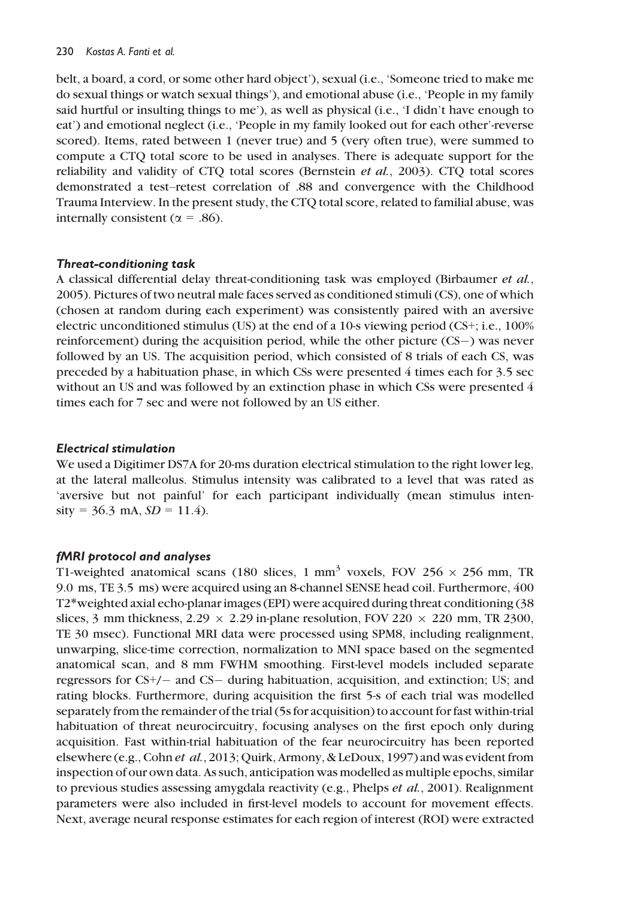belt, a board, a cord, or some other hard object'), sexual (i.e., 'Someone tried to make me do sexual things or watch sexual things'), and emotional abuse (i.e., 'People in my family said hurtful or insulting things to me'), as well as physical (i.e., 'I didn't have enough to eat') and emotional neglect (i.e., 'People in my family looked out for each other'-reverse scored). Items, rated between 1 (never true) and 5 (very often true), were summed to compute a CTQ total score to be used in analyses. There is adequate support for the reliability and validity of CTQ total scores (Bernstein et al., 2003). CTQ total scores demonstrated a test–retest correlation of .88 and convergence with the Childhood Trauma Interview. In the present study, the CTQ total score, related to familial abuse, was internally consistent ( $\alpha$  = .86).

# Threat-conditioning task

A classical differential delay threat-conditioning task was employed (Birbaumer et al., 2005). Pictures of two neutral male faces served as conditioned stimuli (CS), one of which (chosen at random during each experiment) was consistently paired with an aversive electric unconditioned stimulus (US) at the end of a 10-s viewing period (CS+; i.e., 100% reinforcement) during the acquisition period, while the other picture  $(CS-)$  was never followed by an US. The acquisition period, which consisted of 8 trials of each CS, was preceded by a habituation phase, in which CSs were presented 4 times each for 3.5 sec without an US and was followed by an extinction phase in which CSs were presented 4 times each for 7 sec and were not followed by an US either.

## Electrical stimulation

We used a Digitimer DS7A for 20-ms duration electrical stimulation to the right lower leg, at the lateral malleolus. Stimulus intensity was calibrated to a level that was rated as 'aversive but not painful' for each participant individually (mean stimulus inten $sity = 36.3$  mA,  $SD = 11.4$ ).

# fMRI protocol and analyses

T1-weighted anatomical scans (180 slices, 1 mm<sup>3</sup> voxels, FOV 256  $\times$  256 mm, TR 9.0 ms, TE 3.5 ms) were acquired using an 8-channel SENSE head coil. Furthermore, 400 T2\*weighted axial echo-planar images (EPI) were acquired during threat conditioning (38 slices, 3 mm thickness,  $2.29 \times 2.29$  in-plane resolution, FOV 220  $\times$  220 mm, TR 2300, TE 30 msec). Functional MRI data were processed using SPM8, including realignment, unwarping, slice-time correction, normalization to MNI space based on the segmented anatomical scan, and 8 mm FWHM smoothing. First-level models included separate regressors for  $CS<sup>+</sup>/-$  and  $CS-$  during habituation, acquisition, and extinction; US; and rating blocks. Furthermore, during acquisition the first 5-s of each trial was modelled separately from the remainder of the trial (5s for acquisition) to account for fast within-trial habituation of threat neurocircuitry, focusing analyses on the first epoch only during acquisition. Fast within-trial habituation of the fear neurocircuitry has been reported elsewhere (e.g., Cohn et al., 2013; Quirk, Armony, & LeDoux, 1997) and was evident from inspection of our own data. As such, anticipation was modelled as multiple epochs, similar to previous studies assessing amygdala reactivity (e.g., Phelps et al., 2001). Realignment parameters were also included in first-level models to account for movement effects. Next, average neural response estimates for each region of interest (ROI) were extracted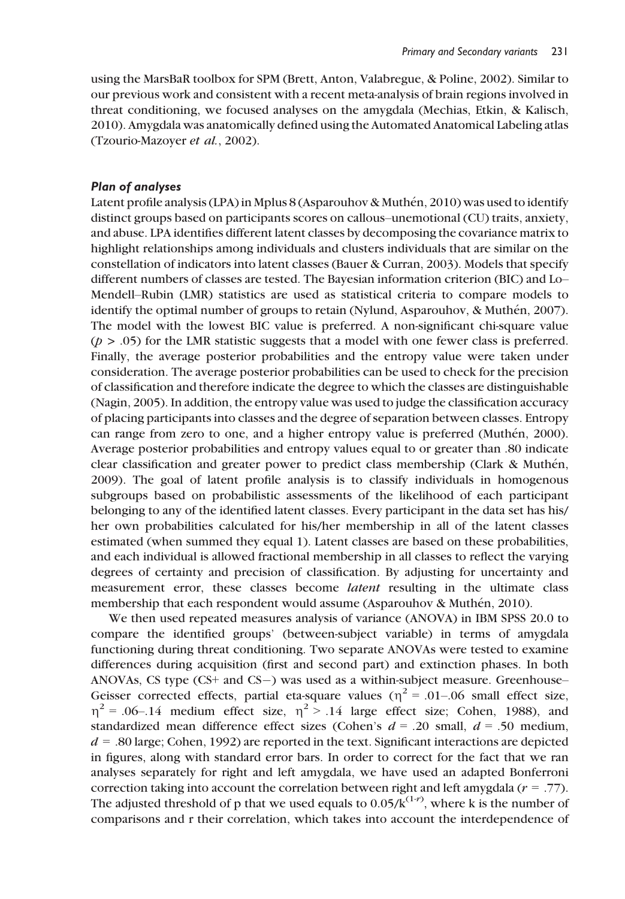using the MarsBaR toolbox for SPM (Brett, Anton, Valabregue, & Poline, 2002). Similar to our previous work and consistent with a recent meta-analysis of brain regions involved in threat conditioning, we focused analyses on the amygdala (Mechias, Etkin, & Kalisch, 2010). Amygdala was anatomically defined using the Automated Anatomical Labeling atlas (Tzourio-Mazoyer et al., 2002).

#### Plan of analyses

Latent profile analysis (LPA) in Mplus 8 (Asparouhov & Muthén, 2010) was used to identify distinct groups based on participants scores on callous–unemotional (CU) traits, anxiety, and abuse. LPA identifies different latent classes by decomposing the covariance matrix to highlight relationships among individuals and clusters individuals that are similar on the constellation of indicators into latent classes (Bauer & Curran, 2003). Models that specify different numbers of classes are tested. The Bayesian information criterion (BIC) and Lo– Mendell–Rubin (LMR) statistics are used as statistical criteria to compare models to identify the optimal number of groups to retain (Nylund, Asparouhov,  $\&$  Muthén, 2007). The model with the lowest BIC value is preferred. A non-significant chi-square value  $(p > .05)$  for the LMR statistic suggests that a model with one fewer class is preferred. Finally, the average posterior probabilities and the entropy value were taken under consideration. The average posterior probabilities can be used to check for the precision of classification and therefore indicate the degree to which the classes are distinguishable (Nagin, 2005). In addition, the entropy value was used to judge the classification accuracy of placing participants into classes and the degree of separation between classes. Entropy can range from zero to one, and a higher entropy value is preferred (Muthén, 2000). Average posterior probabilities and entropy values equal to or greater than .80 indicate clear classification and greater power to predict class membership (Clark & Muthén, 2009). The goal of latent profile analysis is to classify individuals in homogenous subgroups based on probabilistic assessments of the likelihood of each participant belonging to any of the identified latent classes. Every participant in the data set has his/ her own probabilities calculated for his/her membership in all of the latent classes estimated (when summed they equal 1). Latent classes are based on these probabilities, and each individual is allowed fractional membership in all classes to reflect the varying degrees of certainty and precision of classification. By adjusting for uncertainty and measurement error, these classes become latent resulting in the ultimate class membership that each respondent would assume (Asparouhov & Muthén, 2010).

We then used repeated measures analysis of variance (ANOVA) in IBM SPSS 20.0 to compare the identified groups' (between-subject variable) in terms of amygdala functioning during threat conditioning. Two separate ANOVAs were tested to examine differences during acquisition (first and second part) and extinction phases. In both ANOVAs, CS type  $(CS+$  and  $CS-$ ) was used as a within-subject measure. Greenhouse– Geisser corrected effects, partial eta-square values ( $\eta^2$  = .01–.06 small effect size,  $\eta^2$  = .06–.14 medium effect size,  $\eta^2$  > .14 large effect size; Cohen, 1988), and standardized mean difference effect sizes (Cohen's  $d = .20$  small,  $d = .50$  medium,  $d = 0.80$  large; Cohen, 1992) are reported in the text. Significant interactions are depicted in figures, along with standard error bars. In order to correct for the fact that we ran analyses separately for right and left amygdala, we have used an adapted Bonferroni correction taking into account the correlation between right and left amygdala ( $r = .77$ ). The adjusted threshold of p that we used equals to  $0.05/k^{(1-r)}$ , where k is the number of comparisons and r their correlation, which takes into account the interdependence of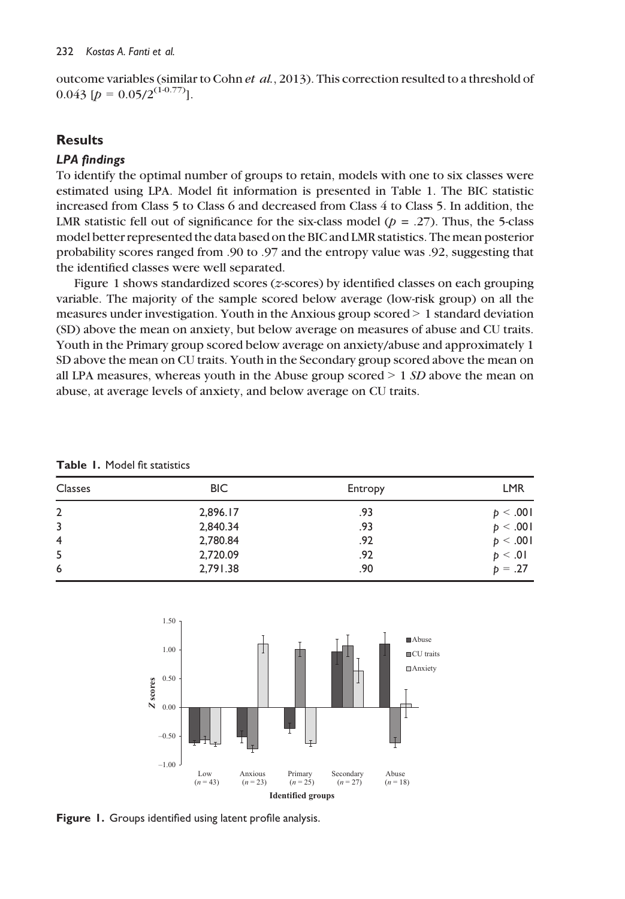outcome variables (similar to Cohn et al., 2013). This correction resulted to a threshold of  $0.043$  [ $p = 0.05/2^{(1 \cdot 0.77)}$ ].

# **Results**

### LPA findings

To identify the optimal number of groups to retain, models with one to six classes were estimated using LPA. Model fit information is presented in Table 1. The BIC statistic increased from Class 5 to Class 6 and decreased from Class 4 to Class 5. In addition, the LMR statistic fell out of significance for the six-class model ( $p = .27$ ). Thus, the 5-class model better represented the data based on the BIC and LMR statistics. The mean posterior probability scores ranged from .90 to .97 and the entropy value was .92, suggesting that the identified classes were well separated.

Figure 1 shows standardized scores (z-scores) by identified classes on each grouping variable. The majority of the sample scored below average (low-risk group) on all the measures under investigation. Youth in the Anxious group scored > 1 standard deviation (SD) above the mean on anxiety, but below average on measures of abuse and CU traits. Youth in the Primary group scored below average on anxiety/abuse and approximately 1 SD above the mean on CU traits. Youth in the Secondary group scored above the mean on all LPA measures, whereas youth in the Abuse group scored  $> 1$  SD above the mean on abuse, at average levels of anxiety, and below average on CU traits.

| <b>Classes</b> | BIC.     | Entropy | <b>LMR</b> |
|----------------|----------|---------|------------|
| $\overline{2}$ | 2,896.17 | .93     | p < .001   |
| 3              | 2,840.34 | .93     | p < .001   |
| $\overline{4}$ | 2,780.84 | .92     | p < .001   |
| 5              | 2,720.09 | .92     | p < .01    |
| 6              | 2,791.38 | .90     | $p = .27$  |

Table 1. Model fit statistics



Figure 1. Groups identified using latent profile analysis.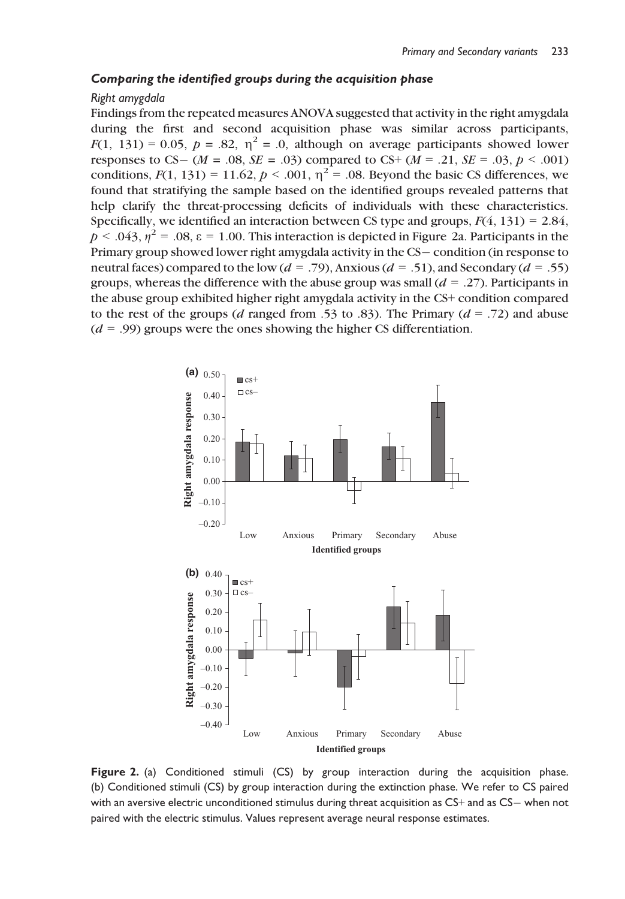#### Comparing the identified groups during the acquisition phase

#### Right amygdala

Findings from the repeated measures ANOVA suggested that activity in the right amygdala during the first and second acquisition phase was similar across participants,  $F(1, 131) = 0.05$ ,  $p = .82$ ,  $\eta^2 = .0$ , although on average participants showed lower responses to CS – ( $M = .08$ ,  $SE = .03$ ) compared to CS+ ( $M = .21$ ,  $SE = .03$ ,  $p < .001$ ) conditions,  $F(1, 131) = 11.62$ ,  $p < .001$ ,  $\eta^2 = .08$ . Beyond the basic CS differences, we found that stratifying the sample based on the identified groups revealed patterns that help clarify the threat-processing deficits of individuals with these characteristics. Specifically, we identified an interaction between CS type and groups,  $F(4, 131) = 2.84$ ,  $p < .043$ ,  $\eta^2 = .08$ ,  $\varepsilon = 1.00$ . This interaction is depicted in Figure 2a. Participants in the Primary group showed lower right amygdala activity in the CS-condition (in response to neutral faces) compared to the low  $(d = .79)$ , Anxious  $(d = .51)$ , and Secondary  $(d = .55)$ groups, whereas the difference with the abuse group was small  $(d = .27)$ . Participants in the abuse group exhibited higher right amygdala activity in the CS+ condition compared to the rest of the groups (d ranged from .53 to .83). The Primary ( $d = .72$ ) and abuse  $(d = .99)$  groups were the ones showing the higher CS differentiation.



Figure 2. (a) Conditioned stimuli (CS) by group interaction during the acquisition phase. (b) Conditioned stimuli (CS) by group interaction during the extinction phase. We refer to CS paired with an aversive electric unconditioned stimulus during threat acquisition as CS+ and as CS- when not paired with the electric stimulus. Values represent average neural response estimates.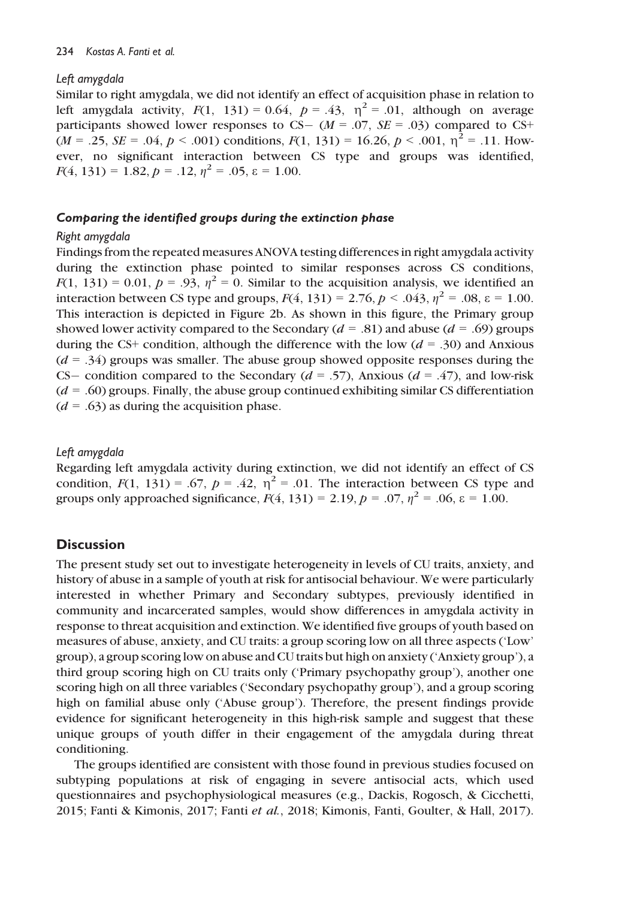# Left amygdala

Similar to right amygdala, we did not identify an effect of acquisition phase in relation to left amygdala activity,  $F(1, 131) = 0.64$ ,  $p = .43$ ,  $\eta^2 = .01$ , although on average participants showed lower responses to CS- ( $M = .07$ ,  $SE = .03$ ) compared to CS+  $(M = .25, SE = .04, p < .001)$  conditions,  $F(1, 131) = 16.26, p < .001, \eta^2 = .11$ . However, no significant interaction between CS type and groups was identified,  $F(4, 131) = 1.82, p = .12, \eta^2 = .05, \varepsilon = 1.00.$ 

# Comparing the identified groups during the extinction phase

## Right amygdala

Findings from the repeated measures ANOVA testing differences in right amygdala activity during the extinction phase pointed to similar responses across CS conditions,  $F(1, 131) = 0.01$ ,  $p = .93$ ,  $\eta^2 = 0$ . Similar to the acquisition analysis, we identified an interaction between CS type and groups,  $F(4, 131) = 2.76$ ,  $p < .043$ ,  $\eta^2 = .08$ ,  $\varepsilon = 1.00$ . This interaction is depicted in Figure 2b. As shown in this figure, the Primary group showed lower activity compared to the Secondary ( $d = .81$ ) and abuse ( $d = .69$ ) groups during the CS+ condition, although the difference with the low  $(d = .30)$  and Anxious  $(d = .34)$  groups was smaller. The abuse group showed opposite responses during the CS condition compared to the Secondary ( $d = .57$ ), Anxious ( $d = .47$ ), and low-risk  $(d = .60)$  groups. Finally, the abuse group continued exhibiting similar CS differentiation  $(d = .63)$  as during the acquisition phase.

# Left amygdala

Regarding left amygdala activity during extinction, we did not identify an effect of CS condition,  $F(1, 131) = .67$ ,  $p = .42$ ,  $\eta^2 = .01$ . The interaction between CS type and groups only approached significance,  $F(4, 131) = 2.19$ ,  $p = .07$ ,  $\eta^2 = .06$ ,  $\varepsilon = 1.00$ .

# **Discussion**

The present study set out to investigate heterogeneity in levels of CU traits, anxiety, and history of abuse in a sample of youth at risk for antisocial behaviour. We were particularly interested in whether Primary and Secondary subtypes, previously identified in community and incarcerated samples, would show differences in amygdala activity in response to threat acquisition and extinction. We identified five groups of youth based on measures of abuse, anxiety, and CU traits: a group scoring low on all three aspects ('Low' group), a group scoring low on abuse and CU traits but high on anxiety ('Anxiety group'), a third group scoring high on CU traits only ('Primary psychopathy group'), another one scoring high on all three variables ('Secondary psychopathy group'), and a group scoring high on familial abuse only ('Abuse group'). Therefore, the present findings provide evidence for significant heterogeneity in this high-risk sample and suggest that these unique groups of youth differ in their engagement of the amygdala during threat conditioning.

The groups identified are consistent with those found in previous studies focused on subtyping populations at risk of engaging in severe antisocial acts, which used questionnaires and psychophysiological measures (e.g., Dackis, Rogosch, & Cicchetti, 2015; Fanti & Kimonis, 2017; Fanti et al., 2018; Kimonis, Fanti, Goulter, & Hall, 2017).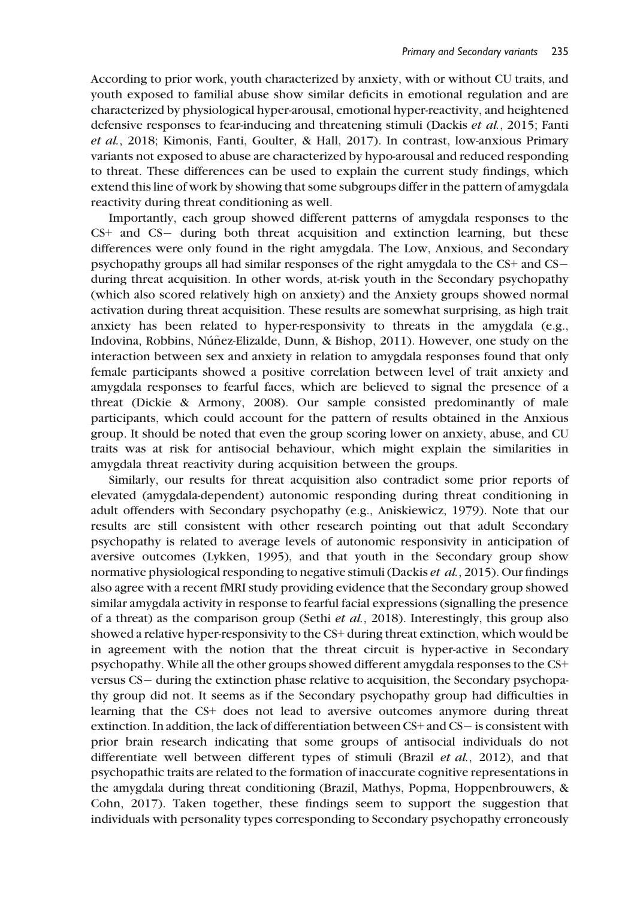According to prior work, youth characterized by anxiety, with or without CU traits, and youth exposed to familial abuse show similar deficits in emotional regulation and are characterized by physiological hyper-arousal, emotional hyper-reactivity, and heightened defensive responses to fear-inducing and threatening stimuli (Dackis et al., 2015; Fanti et al., 2018; Kimonis, Fanti, Goulter, & Hall, 2017). In contrast, low-anxious Primary variants not exposed to abuse are characterized by hypo-arousal and reduced responding to threat. These differences can be used to explain the current study findings, which extend this line of work by showing that some subgroups differ in the pattern of amygdala reactivity during threat conditioning as well.

Importantly, each group showed different patterns of amygdala responses to the  $CS$ + and  $CS$ - during both threat acquisition and extinction learning, but these differences were only found in the right amygdala. The Low, Anxious, and Secondary psychopathy groups all had similar responses of the right amygdala to the CS+ and CS during threat acquisition. In other words, at-risk youth in the Secondary psychopathy (which also scored relatively high on anxiety) and the Anxiety groups showed normal activation during threat acquisition. These results are somewhat surprising, as high trait anxiety has been related to hyper-responsivity to threats in the amygdala (e.g., Indovina, Robbins, Núñez-Elizalde, Dunn, & Bishop, 2011). However, one study on the interaction between sex and anxiety in relation to amygdala responses found that only female participants showed a positive correlation between level of trait anxiety and amygdala responses to fearful faces, which are believed to signal the presence of a threat (Dickie & Armony, 2008). Our sample consisted predominantly of male participants, which could account for the pattern of results obtained in the Anxious group. It should be noted that even the group scoring lower on anxiety, abuse, and CU traits was at risk for antisocial behaviour, which might explain the similarities in amygdala threat reactivity during acquisition between the groups.

Similarly, our results for threat acquisition also contradict some prior reports of elevated (amygdala-dependent) autonomic responding during threat conditioning in adult offenders with Secondary psychopathy (e.g., Aniskiewicz, 1979). Note that our results are still consistent with other research pointing out that adult Secondary psychopathy is related to average levels of autonomic responsivity in anticipation of aversive outcomes (Lykken, 1995), and that youth in the Secondary group show normative physiological responding to negative stimuli (Dackis et al., 2015). Our findings also agree with a recent fMRI study providing evidence that the Secondary group showed similar amygdala activity in response to fearful facial expressions (signalling the presence of a threat) as the comparison group (Sethi et al., 2018). Interestingly, this group also showed a relative hyper-responsivity to the CS+ during threat extinction, which would be in agreement with the notion that the threat circuit is hyper-active in Secondary psychopathy. While all the other groups showed different amygdala responses to the CS+ versus CS – during the extinction phase relative to acquisition, the Secondary psychopathy group did not. It seems as if the Secondary psychopathy group had difficulties in learning that the CS+ does not lead to aversive outcomes anymore during threat extinction. In addition, the lack of differentiation between  $CS+$  and  $CS-$  is consistent with prior brain research indicating that some groups of antisocial individuals do not differentiate well between different types of stimuli (Brazil et al., 2012), and that psychopathic traits are related to the formation of inaccurate cognitive representations in the amygdala during threat conditioning (Brazil, Mathys, Popma, Hoppenbrouwers, & Cohn, 2017). Taken together, these findings seem to support the suggestion that individuals with personality types corresponding to Secondary psychopathy erroneously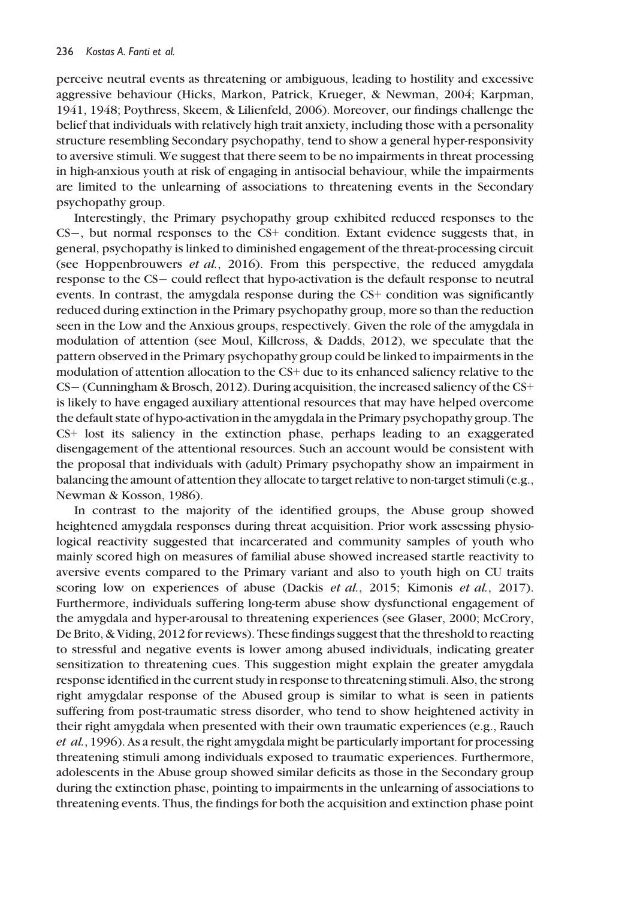perceive neutral events as threatening or ambiguous, leading to hostility and excessive aggressive behaviour (Hicks, Markon, Patrick, Krueger, & Newman, 2004; Karpman, 1941, 1948; Poythress, Skeem, & Lilienfeld, 2006). Moreover, our findings challenge the belief that individuals with relatively high trait anxiety, including those with a personality structure resembling Secondary psychopathy, tend to show a general hyper-responsivity to aversive stimuli. We suggest that there seem to be no impairments in threat processing in high-anxious youth at risk of engaging in antisocial behaviour, while the impairments are limited to the unlearning of associations to threatening events in the Secondary psychopathy group.

Interestingly, the Primary psychopathy group exhibited reduced responses to the CS, but normal responses to the CS+ condition. Extant evidence suggests that, in general, psychopathy is linked to diminished engagement of the threat-processing circuit (see Hoppenbrouwers et al., 2016). From this perspective, the reduced amygdala response to the CS- could reflect that hypo-activation is the default response to neutral events. In contrast, the amygdala response during the CS+ condition was significantly reduced during extinction in the Primary psychopathy group, more so than the reduction seen in the Low and the Anxious groups, respectively. Given the role of the amygdala in modulation of attention (see Moul, Killcross, & Dadds, 2012), we speculate that the pattern observed in the Primary psychopathy group could be linked to impairments in the modulation of attention allocation to the CS+ due to its enhanced saliency relative to the CS (Cunningham & Brosch, 2012). During acquisition, the increased saliency of the CS+ is likely to have engaged auxiliary attentional resources that may have helped overcome the default state of hypo-activation in the amygdala in the Primary psychopathy group. The CS+ lost its saliency in the extinction phase, perhaps leading to an exaggerated disengagement of the attentional resources. Such an account would be consistent with the proposal that individuals with (adult) Primary psychopathy show an impairment in balancing the amount of attention they allocate to target relative to non-target stimuli (e.g., Newman & Kosson, 1986).

In contrast to the majority of the identified groups, the Abuse group showed heightened amygdala responses during threat acquisition. Prior work assessing physiological reactivity suggested that incarcerated and community samples of youth who mainly scored high on measures of familial abuse showed increased startle reactivity to aversive events compared to the Primary variant and also to youth high on CU traits scoring low on experiences of abuse (Dackis et al., 2015; Kimonis et al., 2017). Furthermore, individuals suffering long-term abuse show dysfunctional engagement of the amygdala and hyper-arousal to threatening experiences (see Glaser, 2000; McCrory, De Brito, & Viding, 2012 for reviews). These findings suggest that the threshold to reacting to stressful and negative events is lower among abused individuals, indicating greater sensitization to threatening cues. This suggestion might explain the greater amygdala response identified in the current study in response to threatening stimuli. Also, the strong right amygdalar response of the Abused group is similar to what is seen in patients suffering from post-traumatic stress disorder, who tend to show heightened activity in their right amygdala when presented with their own traumatic experiences (e.g., Rauch et al., 1996). As a result, the right amygdala might be particularly important for processing threatening stimuli among individuals exposed to traumatic experiences. Furthermore, adolescents in the Abuse group showed similar deficits as those in the Secondary group during the extinction phase, pointing to impairments in the unlearning of associations to threatening events. Thus, the findings for both the acquisition and extinction phase point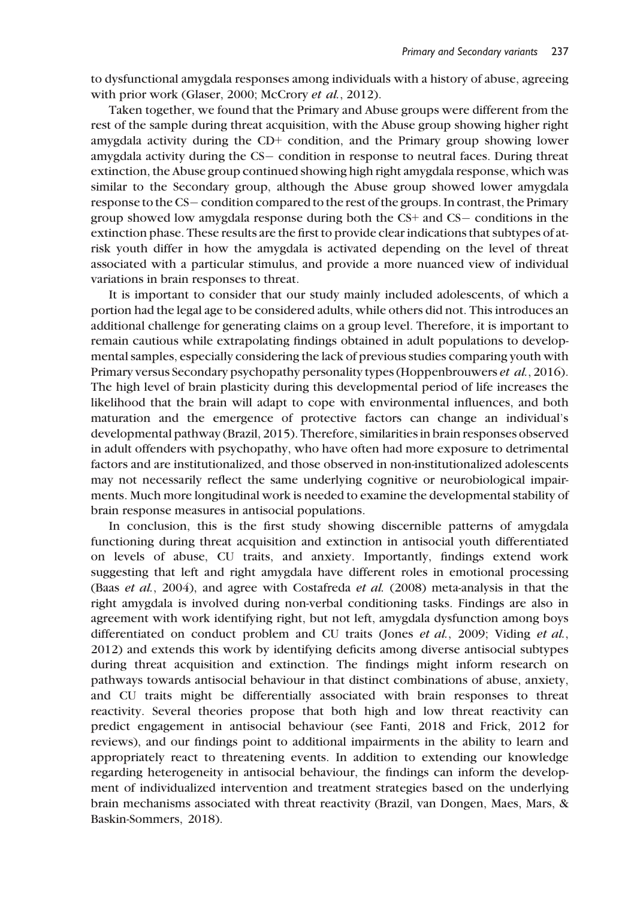to dysfunctional amygdala responses among individuals with a history of abuse, agreeing with prior work (Glaser, 2000; McCrory *et al.*, 2012).

Taken together, we found that the Primary and Abuse groups were different from the rest of the sample during threat acquisition, with the Abuse group showing higher right amygdala activity during the CD+ condition, and the Primary group showing lower amygdala activity during the CS- condition in response to neutral faces. During threat extinction, the Abuse group continued showing high right amygdala response, which was similar to the Secondary group, although the Abuse group showed lower amygdala response to the CS-condition compared to the rest of the groups. In contrast, the Primary group showed low amygdala response during both the  $CS+$  and  $CS-$  conditions in the extinction phase. These results are the first to provide clear indications that subtypes of atrisk youth differ in how the amygdala is activated depending on the level of threat associated with a particular stimulus, and provide a more nuanced view of individual variations in brain responses to threat.

It is important to consider that our study mainly included adolescents, of which a portion had the legal age to be considered adults, while others did not. This introduces an additional challenge for generating claims on a group level. Therefore, it is important to remain cautious while extrapolating findings obtained in adult populations to developmental samples, especially considering the lack of previous studies comparing youth with Primary versus Secondary psychopathy personality types (Hoppenbrouwers et al., 2016). The high level of brain plasticity during this developmental period of life increases the likelihood that the brain will adapt to cope with environmental influences, and both maturation and the emergence of protective factors can change an individual's developmental pathway (Brazil, 2015). Therefore, similarities in brain responses observed in adult offenders with psychopathy, who have often had more exposure to detrimental factors and are institutionalized, and those observed in non-institutionalized adolescents may not necessarily reflect the same underlying cognitive or neurobiological impairments. Much more longitudinal work is needed to examine the developmental stability of brain response measures in antisocial populations.

In conclusion, this is the first study showing discernible patterns of amygdala functioning during threat acquisition and extinction in antisocial youth differentiated on levels of abuse, CU traits, and anxiety. Importantly, findings extend work suggesting that left and right amygdala have different roles in emotional processing (Baas et al., 2004), and agree with Costafreda et al. (2008) meta-analysis in that the right amygdala is involved during non-verbal conditioning tasks. Findings are also in agreement with work identifying right, but not left, amygdala dysfunction among boys differentiated on conduct problem and CU traits (Jones *et al.*, 2009; Viding *et al.*, 2012) and extends this work by identifying deficits among diverse antisocial subtypes during threat acquisition and extinction. The findings might inform research on pathways towards antisocial behaviour in that distinct combinations of abuse, anxiety, and CU traits might be differentially associated with brain responses to threat reactivity. Several theories propose that both high and low threat reactivity can predict engagement in antisocial behaviour (see Fanti, 2018 and Frick, 2012 for reviews), and our findings point to additional impairments in the ability to learn and appropriately react to threatening events. In addition to extending our knowledge regarding heterogeneity in antisocial behaviour, the findings can inform the development of individualized intervention and treatment strategies based on the underlying brain mechanisms associated with threat reactivity (Brazil, van Dongen, Maes, Mars, & Baskin-Sommers, 2018).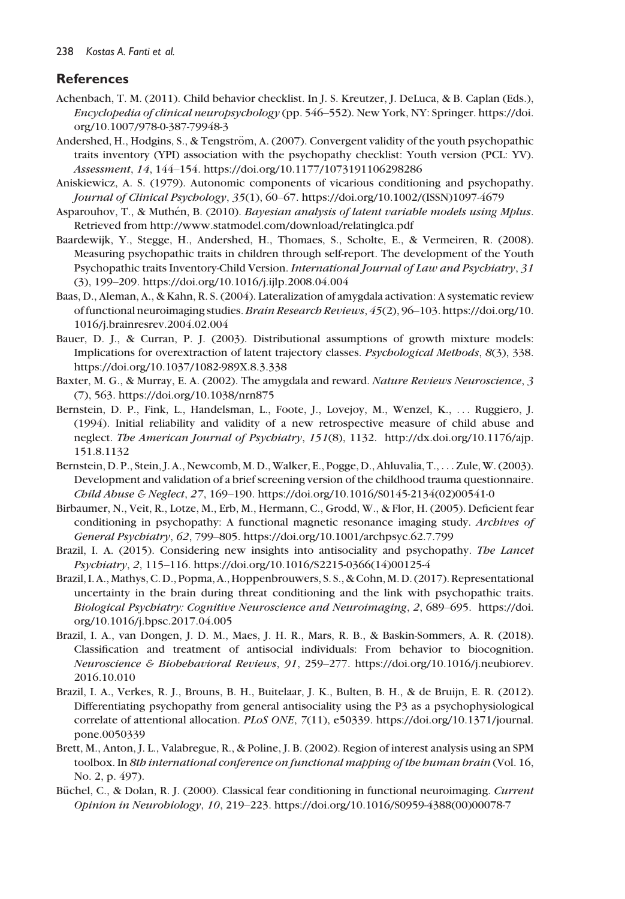# References

- Achenbach, T. M. (2011). Child behavior checklist. In J. S. Kreutzer, J. DeLuca, & B. Caplan (Eds.), Encyclopedia of clinical neuropsychology (pp. 546–552). New York, NY: Springer. [https://doi.](https://doi.org/10.1007/978-0-387-79948-3) [org/10.1007/978-0-387-79948-3](https://doi.org/10.1007/978-0-387-79948-3)
- Andershed, H., Hodgins, S., & Tengström, A. (2007). Convergent validity of the youth psychopathic traits inventory (YPI) association with the psychopathy checklist: Youth version (PCL: YV). Assessment, 14, 144–154.<https://doi.org/10.1177/1073191106298286>
- Aniskiewicz, A. S. (1979). Autonomic components of vicarious conditioning and psychopathy. Journal of Clinical Psychology, 35(1), 60–67. [https://doi.org/10.1002/\(ISSN\)1097-4679](https://doi.org/10.1002/(ISSN)1097-4679)
- Asparouhov, T., & Muthén, B. (2010). *Bayesian analysis of latent variable models using Mplus.* Retrieved from<http://www.statmodel.com/download/relatinglca.pdf>
- Baardewijk, Y., Stegge, H., Andershed, H., Thomaes, S., Scholte, E., & Vermeiren, R. (2008). Measuring psychopathic traits in children through self-report. The development of the Youth Psychopathic traits Inventory-Child Version. International Journal of Law and Psychiatry, 31 (3), 199–209.<https://doi.org/10.1016/j.ijlp.2008.04.004>
- Baas, D., Aleman, A., & Kahn, R. S. (2004). Lateralization of amygdala activation: A systematic review of functional neuroimaging studies.Brain Research Reviews, 45(2), 96–103. [https://doi.org/10.](https://doi.org/10.1016/j.brainresrev.2004.02.004) [1016/j.brainresrev.2004.02.004](https://doi.org/10.1016/j.brainresrev.2004.02.004)
- Bauer, D. J., & Curran, P. J. (2003). Distributional assumptions of growth mixture models: Implications for overextraction of latent trajectory classes. Psychological Methods, 8(3), 338. <https://doi.org/10.1037/1082-989X.8.3.338>
- Baxter, M. G., & Murray, E. A. (2002). The amygdala and reward. Nature Reviews Neuroscience, 3 (7), 563.<https://doi.org/10.1038/nrn875>
- Bernstein, D. P., Fink, L., Handelsman, L., Foote, J., Lovejoy, M., Wenzel, K., ... Ruggiero, J. (1994). Initial reliability and validity of a new retrospective measure of child abuse and neglect. The American Journal of Psychiatry, 151(8), 1132. [http://dx.doi.org/10.1176/ajp.]( http://dx.doi.org/10.1176/ajp.151.8.1132) [151.8.1132]( http://dx.doi.org/10.1176/ajp.151.8.1132)
- Bernstein, D. P., Stein, J. A., Newcomb, M. D., Walker, E., Pogge, D., Ahluvalia, T., ... Zule, W. (2003). Development and validation of a brief screening version of the childhood trauma questionnaire. Child Abuse & Neglect, 27, 169–190. [https://doi.org/10.1016/S0145-2134\(02\)00541-0](https://doi.org/10.1016/S0145-2134(02)00541-0)
- Birbaumer, N., Veit, R., Lotze, M., Erb, M., Hermann, C., Grodd, W., & Flor, H. (2005). Deficient fear conditioning in psychopathy: A functional magnetic resonance imaging study. Archives of General Psychiatry, 62, 799–805.<https://doi.org/10.1001/archpsyc.62.7.799>
- Brazil, I. A. (2015). Considering new insights into antisociality and psychopathy. The Lancet Psychiatry, 2, 115–116. [https://doi.org/10.1016/S2215-0366\(14\)00125-4](https://doi.org/10.1016/S2215-0366(14)00125-4)
- Brazil, I. A., Mathys, C. D., Popma, A., Hoppenbrouwers, S. S., & Cohn, M. D. (2017). Representational uncertainty in the brain during threat conditioning and the link with psychopathic traits. Biological Psychiatry: Cognitive Neuroscience and Neuroimaging, 2, 689–695. [https://doi.]( https://doi.org/10.1016/j.bpsc.2017.04.005) [org/10.1016/j.bpsc.2017.04.005]( https://doi.org/10.1016/j.bpsc.2017.04.005)
- Brazil, I. A., van Dongen, J. D. M., Maes, J. H. R., Mars, R. B., & Baskin-Sommers, A. R. (2018). Classification and treatment of antisocial individuals: From behavior to biocognition. Neuroscience & Biobehavioral Reviews, 91, 259–277. [https://doi.org/10.1016/j.neubiorev.](https://doi.org/10.1016/j.neubiorev.2016.10.010) [2016.10.010](https://doi.org/10.1016/j.neubiorev.2016.10.010)
- Brazil, I. A., Verkes, R. J., Brouns, B. H., Buitelaar, J. K., Bulten, B. H., & de Bruijn, E. R. (2012). Differentiating psychopathy from general antisociality using the P3 as a psychophysiological correlate of attentional allocation. PLoS ONE, 7(11), e50339. [https://doi.org/10.1371/journal.](https://doi.org/10.1371/journal.pone.0050339) [pone.0050339](https://doi.org/10.1371/journal.pone.0050339)
- Brett, M., Anton, J. L., Valabregue, R., & Poline, J. B. (2002). Region of interest analysis using an SPM toolbox. In 8th international conference on functional mapping of the human brain (Vol. 16, No. 2, p. 497).
- Büchel, C., & Dolan, R. J. (2000). Classical fear conditioning in functional neuroimaging. Current Opinion in Neurobiology, 10, 219–223. [https://doi.org/10.1016/S0959-4388\(00\)00078-7](https://doi.org/10.1016/S0959-4388(00)00078-7)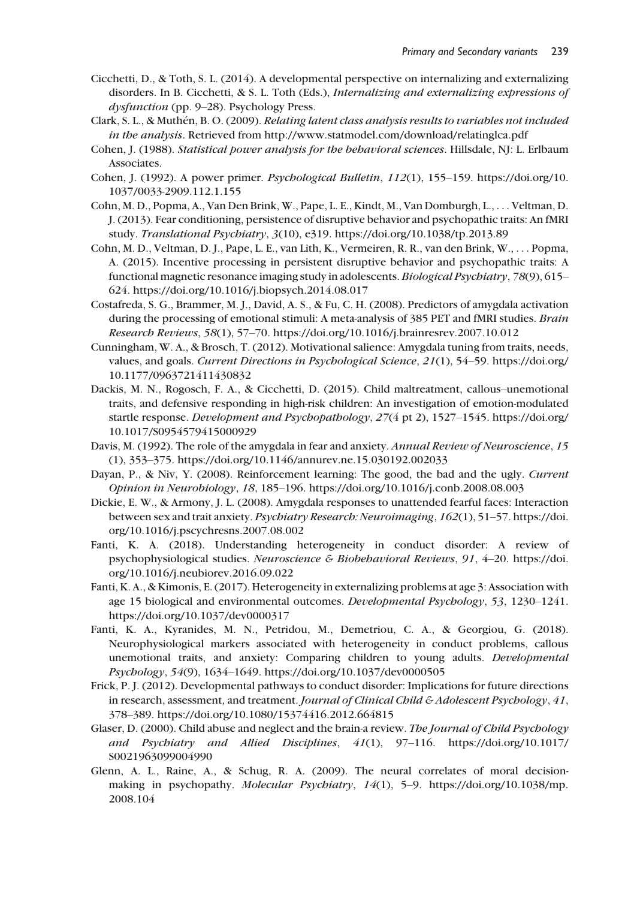- Cicchetti, D., & Toth, S. L. (2014). A developmental perspective on internalizing and externalizing disorders. In B. Cicchetti, & S. L. Toth (Eds.), Internalizing and externalizing expressions of dysfunction (pp. 9–28). Psychology Press.
- Clark, S. L., & Muthén, B. O. (2009). *Relating latent class analysis results to variables not included* in the analysis. Retrieved from<http://www.statmodel.com/download/relatinglca.pdf>
- Cohen, J. (1988). Statistical power analysis for the behavioral sciences. Hillsdale, NJ: L. Erlbaum Associates.
- Cohen, J. (1992). A power primer. Psychological Bulletin, 112(1), 155–159. [https://doi.org/10.](https://doi.org/10.1037/0033-2909.112.1.155) [1037/0033-2909.112.1.155](https://doi.org/10.1037/0033-2909.112.1.155)
- Cohn, M. D., Popma, A., Van Den Brink, W., Pape, L. E., Kindt, M., Van Domburgh, L., ... Veltman, D. J. (2013). Fear conditioning, persistence of disruptive behavior and psychopathic traits: An fMRI study. Translational Psychiatry, 3(10), e319.<https://doi.org/10.1038/tp.2013.89>
- Cohn, M. D., Veltman, D. J., Pape, L. E., van Lith, K., Vermeiren, R. R., van den Brink, W., ... Popma, A. (2015). Incentive processing in persistent disruptive behavior and psychopathic traits: A functional magnetic resonance imaging study in adolescents. Biological Psychiatry, 78(9), 615– 624.<https://doi.org/10.1016/j.biopsych.2014.08.017>
- Costafreda, S. G., Brammer, M. J., David, A. S., & Fu, C. H. (2008). Predictors of amygdala activation during the processing of emotional stimuli: A meta-analysis of 385 PET and fMRI studies. Brain Research Reviews, 58(1), 57–70.<https://doi.org/10.1016/j.brainresrev.2007.10.012>
- Cunningham, W. A., & Brosch, T. (2012). Motivational salience: Amygdala tuning from traits, needs, values, and goals. Current Directions in Psychological Science, 21(1), 54–59. [https://doi.org/](https://doi.org/10.1177/0963721411430832) [10.1177/0963721411430832](https://doi.org/10.1177/0963721411430832)
- Dackis, M. N., Rogosch, F. A., & Cicchetti, D. (2015). Child maltreatment, callous–unemotional traits, and defensive responding in high-risk children: An investigation of emotion-modulated startle response. Development and Psychopathology, 27(4 pt 2), 1527–1545. [https://doi.org/](https://doi.org/10.1017/S0954579415000929) [10.1017/S0954579415000929](https://doi.org/10.1017/S0954579415000929)
- Davis, M. (1992). The role of the amygdala in fear and anxiety. Annual Review of Neuroscience, 15 (1), 353–375.<https://doi.org/10.1146/annurev.ne.15.030192.002033>
- Dayan, P., & Niv, Y. (2008). Reinforcement learning: The good, the bad and the ugly. Current Opinion in Neurobiology, 18, 185–196.<https://doi.org/10.1016/j.conb.2008.08.003>
- Dickie, E. W., & Armony, J. L. (2008). Amygdala responses to unattended fearful faces: Interaction between sex and trait anxiety. Psychiatry Research: Neuroimaging, 162(1), 51–57. [https://doi.](https://doi.org/10.1016/j.pscychresns.2007.08.002) [org/10.1016/j.pscychresns.2007.08.002](https://doi.org/10.1016/j.pscychresns.2007.08.002)
- Fanti, K. A. (2018). Understanding heterogeneity in conduct disorder: A review of psychophysiological studies. Neuroscience & Biobehavioral Reviews, 91, 4–20. [https://doi.](https://doi.org/10.1016/j.neubiorev.2016.09.022) [org/10.1016/j.neubiorev.2016.09.022](https://doi.org/10.1016/j.neubiorev.2016.09.022)
- Fanti, K. A., & Kimonis, E. (2017). Heterogeneity in externalizing problems at age 3: Association with age 15 biological and environmental outcomes. Developmental Psychology, 53, 1230–1241. <https://doi.org/10.1037/dev0000317>
- Fanti, K. A., Kyranides, M. N., Petridou, M., Demetriou, C. A., & Georgiou, G. (2018). Neurophysiological markers associated with heterogeneity in conduct problems, callous unemotional traits, and anxiety: Comparing children to young adults. Developmental Psychology, 54(9), 1634–1649.<https://doi.org/10.1037/dev0000505>
- Frick, P. J. (2012). Developmental pathways to conduct disorder: Implications for future directions in research, assessment, and treatment. Journal of Clinical Child & Adolescent Psychology, 41, 378–389.<https://doi.org/10.1080/15374416.2012.664815>
- Glaser, D. (2000). Child abuse and neglect and the brain-a review. The Journal of Child Psychology and Psychiatry and Allied Disciplines, 41(1), 97–116. [https://doi.org/10.1017/](https://doi.org/10.1017/S0021963099004990) [S0021963099004990](https://doi.org/10.1017/S0021963099004990)
- Glenn, A. L., Raine, A., & Schug, R. A. (2009). The neural correlates of moral decisionmaking in psychopathy. Molecular Psychiatry, 14(1), 5–9. [https://doi.org/10.1038/mp.](https://doi.org/10.1038/mp.2008.104) [2008.104](https://doi.org/10.1038/mp.2008.104)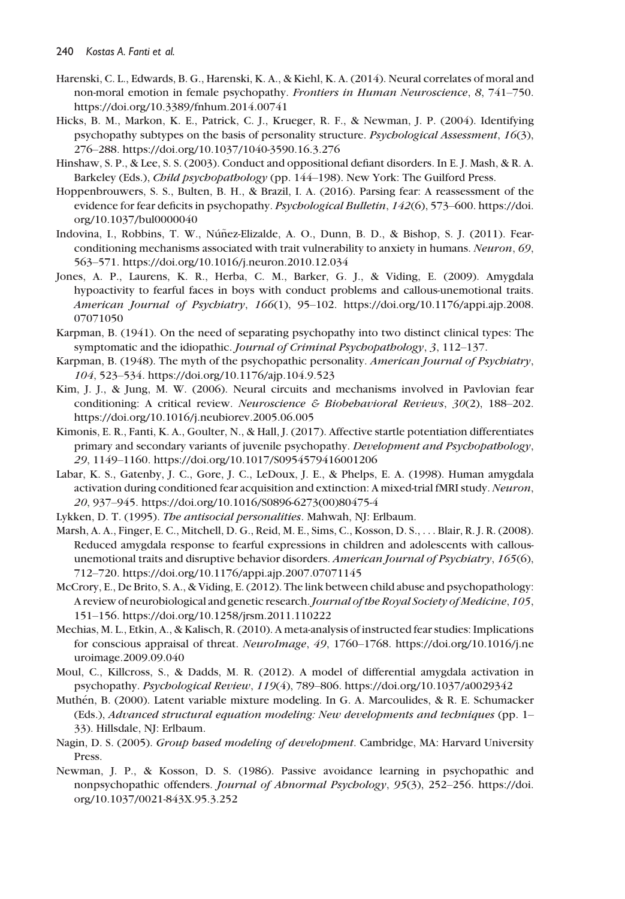- Harenski, C. L., Edwards, B. G., Harenski, K. A., & Kiehl, K. A. (2014). Neural correlates of moral and non-moral emotion in female psychopathy. Frontiers in Human Neuroscience, 8, 741–750. [https://doi.org/10.3389/fnhum.2014.00741]( https://doi.org/10.3389/fnhum.2014.00741)
- Hicks, B. M., Markon, K. E., Patrick, C. J., Krueger, R. F., & Newman, J. P. (2004). Identifying psychopathy subtypes on the basis of personality structure. Psychological Assessment, 16(3), 276–288.<https://doi.org/10.1037/1040-3590.16.3.276>
- Hinshaw, S. P., & Lee, S. S. (2003). Conduct and oppositional defiant disorders. In E. J. Mash, & R. A. Barkeley (Eds.), *Child psychopathology* (pp. 144–198). New York: The Guilford Press.
- Hoppenbrouwers, S. S., Bulten, B. H., & Brazil, I. A. (2016). Parsing fear: A reassessment of the evidence for fear deficits in psychopathy. Psychological Bulletin, 142(6), 573–600. [https://doi.](https://doi.org/10.1037/bul0000040) [org/10.1037/bul0000040](https://doi.org/10.1037/bul0000040)
- Indovina, I., Robbins, T. W., Núñez-Elizalde, A. O., Dunn, B. D., & Bishop, S. J. (2011). Fearconditioning mechanisms associated with trait vulnerability to anxiety in humans. Neuron, 69, 563–571.<https://doi.org/10.1016/j.neuron.2010.12.034>
- Jones, A. P., Laurens, K. R., Herba, C. M., Barker, G. J., & Viding, E. (2009). Amygdala hypoactivity to fearful faces in boys with conduct problems and callous-unemotional traits. American Journal of Psychiatry, 166(1), 95-102. [https://doi.org/10.1176/appi.ajp.2008.](https://doi.org/10.1176/appi.ajp.2008.07071050) [07071050](https://doi.org/10.1176/appi.ajp.2008.07071050)
- Karpman, B. (1941). On the need of separating psychopathy into two distinct clinical types: The symptomatic and the idiopathic. *Journal of Criminal Psychopathology*, 3, 112–137.
- Karpman, B. (1948). The myth of the psychopathic personality. American Journal of Psychiatry, 104, 523–534.<https://doi.org/10.1176/ajp.104.9.523>
- Kim, J. J., & Jung, M. W. (2006). Neural circuits and mechanisms involved in Pavlovian fear conditioning: A critical review. Neuroscience & Biobehavioral Reviews, 30(2), 188–202. <https://doi.org/10.1016/j.neubiorev.2005.06.005>
- Kimonis, E. R., Fanti, K. A., Goulter, N., & Hall, J. (2017). Affective startle potentiation differentiates primary and secondary variants of juvenile psychopathy. Development and Psychopathology, 29, 1149–1160.<https://doi.org/10.1017/S0954579416001206>
- Labar, K. S., Gatenby, J. C., Gore, J. C., LeDoux, J. E., & Phelps, E. A. (1998). Human amygdala activation during conditioned fear acquisition and extinction: A mixed-trial fMRI study. Neuron, 20, 937–945. [https://doi.org/10.1016/S0896-6273\(00\)80475-4](https://doi.org/10.1016/S0896-6273(00)80475-4)
- Lykken, D. T. (1995). The antisocial personalities. Mahwah, NJ: Erlbaum.
- Marsh, A. A., Finger, E. C., Mitchell, D. G., Reid, M. E., Sims, C., Kosson, D. S., ... Blair, R. J. R. (2008). Reduced amygdala response to fearful expressions in children and adolescents with callousunemotional traits and disruptive behavior disorders. American Journal of Psychiatry, 165(6), 712–720.<https://doi.org/10.1176/appi.ajp.2007.07071145>
- McCrory, E., De Brito, S. A., & Viding, E. (2012). The link between child abuse and psychopathology: A review of neurobiological and genetic research. Journal of the Royal Society of Medicine, 105, 151–156.<https://doi.org/10.1258/jrsm.2011.110222>
- Mechias, M. L., Etkin, A., & Kalisch, R. (2010). A meta-analysis of instructed fear studies: Implications for conscious appraisal of threat. NeuroImage, 49, 1760–1768. [https://doi.org/10.1016/j.ne](https://doi.org/10.1016/j.neuroimage.2009.09.040) [uroimage.2009.09.040](https://doi.org/10.1016/j.neuroimage.2009.09.040)
- Moul, C., Killcross, S., & Dadds, M. R. (2012). A model of differential amygdala activation in psychopathy. Psychological Review, 119(4), 789–806.<https://doi.org/10.1037/a0029342>
- Muthén, B. (2000). Latent variable mixture modeling. In G. A. Marcoulides, & R. E. Schumacker (Eds.), Advanced structural equation modeling: New developments and techniques (pp. 1– 33). Hillsdale, NJ: Erlbaum.
- Nagin, D. S. (2005). Group based modeling of development. Cambridge, MA: Harvard University Press.
- Newman, J. P., & Kosson, D. S. (1986). Passive avoidance learning in psychopathic and nonpsychopathic offenders. Journal of Abnormal Psychology, 95(3), 252–256. [https://doi.](https://doi.org/10.1037/0021-843X.95.3.252) [org/10.1037/0021-843X.95.3.252](https://doi.org/10.1037/0021-843X.95.3.252)